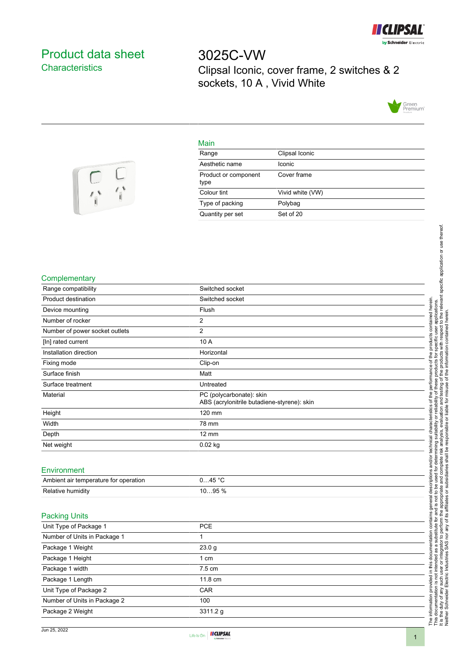

## <span id="page-0-0"></span>Product data sheet **Characteristics**

3025C-VW Clipsal Iconic, cover frame, 2 switches & 2 sockets, 10 A , Vivid White



## Main

| Range                        | Clipsal Iconic   |
|------------------------------|------------------|
| Aesthetic name               | Iconic           |
| Product or component<br>type | Cover frame      |
| Colour tint                  | Vivid white (VW) |
| Type of packing              | Polybag          |
| Quantity per set             | Set of 20        |



| Complementary |  |  |
|---------------|--|--|
|---------------|--|--|

| Range compatibility                   | Switched socket                                                         |  |
|---------------------------------------|-------------------------------------------------------------------------|--|
| Product destination                   | Switched socket                                                         |  |
| Device mounting                       | Flush                                                                   |  |
| Number of rocker                      | 2                                                                       |  |
| Number of power socket outlets        | $\overline{2}$                                                          |  |
| [In] rated current                    | 10 A                                                                    |  |
| Installation direction                | Horizontal                                                              |  |
| Fixing mode                           | Clip-on                                                                 |  |
| Surface finish                        | Matt                                                                    |  |
| Surface treatment                     | Untreated                                                               |  |
| Material                              | PC (polycarbonate): skin<br>ABS (acrylonitrile butadiene-styrene): skin |  |
| Height                                | 120 mm                                                                  |  |
| Width                                 | 78 mm                                                                   |  |
| Depth                                 | $12 \text{ mm}$                                                         |  |
| Net weight                            | $0.02$ kg                                                               |  |
|                                       |                                                                         |  |
| Environment                           |                                                                         |  |
| Ambient air temperature for operation | 045 °C                                                                  |  |
| Relative humidity                     | 1095 %                                                                  |  |
|                                       |                                                                         |  |
| <b>Packing Units</b>                  |                                                                         |  |
| Unit Type of Package 1                | PCE                                                                     |  |
| Number of Units in Package 1          | 1                                                                       |  |
| Package 1 Weight                      | 23.0 <sub>g</sub>                                                       |  |
| Package 1 Height                      | 1 cm                                                                    |  |
| Package 1 width                       | 7.5 cm                                                                  |  |
| Package 1 Length                      | 11.8 cm                                                                 |  |
| Unit Type of Package 2                | CAR                                                                     |  |
| Number of Units in Package 2          | 100                                                                     |  |
| Package 2 Weight                      | 3311.2 g                                                                |  |
|                                       |                                                                         |  |